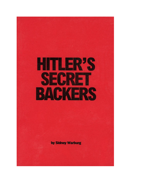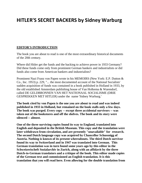# **HITLER'S SECRET BACKERS by Sidney Warburg**

# **EDITOR'S INTRODUCTION**

The book you are about to read is one of the most extraordinary historical documents of the 20th century.

Where did Hitler get the funds and the backing to achieve power in 1933 Germany? Did these funds come only from prominent German bankers and industrialists or did funds also come from American bankers and industrialists?

Prominent Nazi Franz von Papen wrote in his MEMOIRS (New York: E.P. Dutton & Co., Inc. 1953) p. 229, "... the most documented account of the National Socialists' sudden acquisition of funds was contained in a book published in Holland in 1933, by the old established Amsterdam publishing house of Van Holkema & Warendorf, called DE GELDBRONNEN VAN HET NATIONAAL SOCIALISME (DRIE GESPREKKEN MET HITLER) under the name 'Sidney Warburg.'

**The book cited by von Papen is the one you are about to read and was indeed published in 1933 in Holland, but remained on the book stalls only a few days. The book was purged. Every copy -- except three accidental survivors -- was taken out of the bookstores and off the shelves. The book and its story were silenced -- almost.** 

**One of the three surviving copies found its way to England, translated into English and deposited in the British Museum. This copy and the translation were later withdrawn from circulation, and are presently "unavailable" for research. The second Dutch language copy was acquired by Chancellor Schussnigg of Austria. Nothing is known of its present whereabouts. The third Dutch survivor found its way to Switzerland and in 1947 was translated into German. This German translation was in turn found some years ago by this editor in the Schweizerischeft Sozialarchiv in Zurich, along with an affidavit by the three Dutch-to-German translators and a critique of the book. This editor made copies of the German text and commissioned an English translation. It is this translation that you will read here. Even allowing for the double translation from**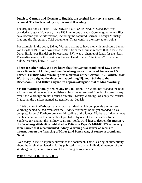## **Dutch to German and German to English, the original lively style is essentially retained. The book is not by any means dull reading.**

The original book FINANCIAL ORIGINS OF NATIONAL SOCIALISM was branded a forgery. However, since 1933 numerous pre-war German government files have become public information, including the captured German Foreign Ministry files and the Nuremburg Trial documents. These confirm the story at key points.

For example, in the book, Sidney Warburg claims to have met with an obscure banker von Heydt in 1933. We now know in 1982 from the German records that in 1933 the Dutch Bank voor Handel en Scheepvaart N.V., was a channel of funds for the Nazis. The earlier name for this bank was the von Heydt Bank. Coincidence? How would Sidney Warburg know in 1933?

**There are other links. We now know that the German combine of I.G. Farben was a financier of Hitler, and Paul Warburg was a director of American I.G. Farben. Further, Max Warburg was a director of the German I.G. Farben. Max Warburg also signed the document appointing Hjalmar Schaht to the Reichsbank -- and Hitler's signature appears alongside that of Max Warburg.** 

**Yet the Warburg family denied any link to Hitler.** The Warburgs branded the book a forgery and threatened the publisher unless it was removed from bookstores. In any event, the Warburgs are not accused directly. "Sidney Warburg" was only the courier. In fact, all the bankers named are gentiles, not Jewish.

In 1949 James P. Warburg made a sworn affidavit which compounds the mystery. Warburg denied he had even seen the "Sidney Warburg" book, yet branded it as a complete forgery! Furthermore, careful reading of the James Warburg affidavit shows that his denial refers to another book published by one of the translators, Rene Sonderegger, and not the "Sidney Warburg" book. **And just to deepen the mystery, this Warburg affidavit is published in Fritz von Papen's MEMOIRS -- the very same source that recommended Sidney Warburg as a source of accurate information on the financing of Hitler (and Papen was, of course, a prominent Nazi).** 

Even today in 1983 a mystery surrounds the document. There is a ring of authenticity about the original explanation for its publication -- that an individual member of the Warburg family wanted to warn of the coming European war.

# **WHO'S WHO IN THE BOOK**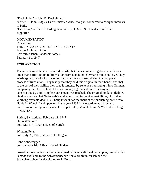"Rockefeller" -- John D. Rockefeller II "Carter" -- John Ridgley Carter, married Alice Morgan, connected to Morgan interests in Paris. "Deterding" -- Henri Deterding, head of Royal Dutch Shell and strong Hitler supporter

DOCUMENTATION **Concerning** THE FINANCING OF POLITICAL EVENTS For the Archives of the Schweizerischen Landesbibliothek February 11, 1947

# **EXPLANATION**

The undersigned three witnesses do verify that the accompanying document is none other than a true and literal translation from Dutch into German of the book by Sidney Warburg, a copy of which was constantly at their disposal during the complete process of translation. They testify that they held this original in their hands, and that, to the best of their ability, they read it sentence by sentence translating it into German, comparing then the content of the accompanying translation to the original conscientiously until complete agreement was reached. The original book is titled: De Geldbronnen van het Nationaal-Socialisme, Drie Gesprekken met Hitler, Dr. Sidney Warburg, vertaald door I.G. Shoup (sic), it has the mark of the publishing house "Vol Hardt En Waeckt" and appeared in the year 1933 in Amsterdam as a brochure consisting of ninety-nine pages of text, put out by Van Holkema & Warendorf's Uitg. -- Mij. N.V.

Zurich, Switzerland, February 11, 1947 Dr. Walter Nelz born March 4, 1909, citizen of Zurich

Wllhelm Peter born July 28, 1906, citizen of Gottingen

Rene Sonderegger born January 16, 1899, citizen of Heiden

Issued in three copies for the undersigned, with an additional two copies, one of which is made available to the Schweizerischen Sozialarchiv in Zurich and the Schweizerischen Landesbipliothek in Bern.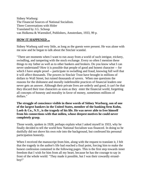Sidney Warburg: The Financial Sources of National Socialism. Three Conversations with Hitler Translated by J.G. Schoup van Holkema & Warendorf, Publishers, Amsterdam, 1933, 99 p.

# **HOW IT HAPPENED ...**

Sidney Warburg said very little, as long as the guests were present. He was alone with me now and he began to talk about the Sinclair scandal.

"There are moments when I want to run away from a world of such intrigue, trickery, swindling, and tampering with the stock exchange. Every so often I mention these things to my father as well as to other bankers and brokers. Do you know what I can never understand? How it is possible that people of good and honest character -- for which I have ample proof -- participate in swindling and fraud, knowing full well that it will affect thousands. The powers in Sinclair Trust have brought in millions of dollars to Wall Street, but ruined thousands of savers. When one questions the reasons for the dishonest and morally indefensible practices of financial leaders one never gets an answer. Although their private lives are orderly and good, it can't be that they discard their true characters as soon as they enter the financial world, forgetting all concepts of honesty and morality in favor of money, sometimes millions of dollars."

# **The struggle of conscience visible in these words of Sidney Warburg, son of one of the largest bankers in the United States, member of the banking firm Kuhn, Loeb & Co., N.Y., is the tragedy of his life. He was never able to free himself from his connections with that milieu, whose deepest motives he could never completely grasp.**

Those words, spoken in 1928, perhaps explain what I asked myself in 1933, why he finally decided to tell the world how National Socialism was financed. In doing so he dutifully did not shove his own role into the background, but confessed his personal participation honestly.

When I received the manuscript from him, along with the request to translate it, I felt that the tragedy in the author's life had reached a final point, forcing him to make the honest confession contained in the following pages. This is the first step towards inner freedom that I wish for him from all my heart, because he has the courage to say in front of the whole world: "They made it possible, but I was their cowardly errandboy!"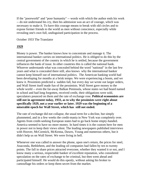If the "poorworld" and "poor humanity" -- words with which the author ends his work -- do not understand his cry, then his admission was an act of courage, which was necessary to make it. To have this courage means to break with old circles and to expose former friends to the world as men without conscience, especially while revealing one's own full, undisguised participation in the process.

October 1933 The Translator

# **1929**

Money is power. The banker knows how to concentrate and manage it. The international banker carries on international politics. He is obliged to do this by the central government of the country in which he is settled, because the government influences the bank of issue. In other countries this is called the national bank. Whoever understands what was concealed behind the word "national" in the last few years and what is concealed there still, also knows why the international banker cannot keep himself out of international politics. The American banking world had been developing for months at a brisk tempo. We were experiencing a boom, and we knew it. Pessimists predicted a sudden fall, but every day we wrote out larger orders, and Wall Street itself made fun of the pessimists. Wall Street gave money to the whole world -- even the far-away Balkan Peninsula, whose states we had heard named in school and had long forgotten, received credit, their obligations were sold, speculators pounced on them and the rate of exchange rose. **Political economists are still not in agreement today, 1933, as to why the pessimists were right about specifically 1929, not a year earlier or later. 1929 was the beginning of a miserable epoch for Wall Street, which has still not ended.** 

The rate of exchange did not collapse, the usual term for a decline, but simply plummeted, and in a few weeks the credit-mania in New York was completely over. Agents from credit-seeking European states had to go back home empty-handed. America seemed to have no more money. In hard times it is the custom here for men in power not to keep their views silent. The leading newspapers published interviews with Hoover, McCormick, McKenna, Dawes, Young and numerous others, but it didn't help us on Wall Street. We were living in hell.

Whenever one was called to answer the phone, upon one's return, the prices for steel, Anaconda, Bethlehem, and the leading oil companies had fallen by ten to twenty points. The fall in share prices attracted everyone, whether they wanted it or not, and I know many a serious, respectable banker of excellent reputation, who considered speculation on the rates of exchange to be criminal, but then went ahead and participated himself. He would do this openly, without asking his broker to camouflage his orders or keep them secret from the market.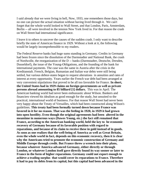I said already that we were living in hell, Now, 1933, one remembers those days, but no one can picture the actual situation without having lived through it. We can't forget that the whole world looked to Wall Street, and that London, Paris, Amsterdam, Berlin -- all were involved in the tension New York lived in. For that reason the crash on Wall Street had international significance.

I leave it to others to uncover the causes of the sudden crash. I only want to describe briefly the state of American finance in 1929. Without a look at it, the following would be largely incomprehensible to my readers.

The Federal Reserve banks had huge sums standing in Germany. Credits in Germany had been frozen since the dissolution of the Darmstadter and National Bank, the crash of Nordwolle, the reorganization of the D -- banks (Darmstadter, Deutsche, Dresden, Dusseldorf), the issue of the Young-Obligations, and the founding of the bank for international payments. The case was the same in Austria after the crisis in the Kreditanstalt. French, Belgian, Rumanian and Italian war debts were still being settled, but various debtor-states began to request alterations in annuities and rates of interest at every opportunity. Years earlier the French war debt had been arranged at very convenient stipulations that proved to be all too favorable for France. **In short, the United States had in 1929 claims on foreign governments as well as private persons abroad amounting to 85 billiard [1] dollars.** This was in April. The American banking world had never been enthusiastic about Wilson. Bankers and financiers viewed his idealism as good enough for the study, but unsuited to the practical, international world of business. For that reason Wall Street had never been very happy about the Treaty of Versailles, which had been constructed along Wilson's guidelines. **This treaty had been formally turned down because France was favored in it for no reason. That was the feeling in 1920, in 1929 it had grown into open hostility. Even though the original agreements had been altered in the meantime in numerous ways (Dawes Young, etc.) the fact still remained that France, according to the American banking world, held the key to he economic recovery of Germany because of its favorable position with regard to reparations, and because of its claim to receive these in gold instead of in goods. As soon as one realizes that the well-being of America as well as Great Britain, even the whole world in fact, depends on this economic recovery, then it is clear why the Americans tried to promote the economic construction of Germany and Middle Europe through credit. But France threw a wrench into their plans, because whatever America advanced Germany, either directly or through London, or whatever London itself gave directly found its way sooner or later to France in the form of higher reparations. Germany could not export enough to achieve a trading surplus that would cover its reparations to France. Therefore it had to pay its debts from its capital, but this capital had been advanced in the**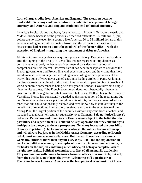#### **form of large credits from America and England. The situation became intolerable. Germany could not continue its unlimited acceptance of foreign currency, and America and England could not lend unlimited amounts.**

America's foreign claims had been, for the most part, frozen in Germany, Austria and Middle Europe because of the previously described difficulties. 85 milliard [2] (sic) dollars are no trifle even for a country like America. 50 to 55 milliard dollars of this were, according to definite estimates, frozen and the rest was in no way secure, because **one had reason to doubt the good will of the former allies -- with the exception of England -- regarding the repayment of debts to America.** 

At this point we must go back a ways into postwar history. Ever since the first days after the signing of the Treaty of Versailles, France regarded its stipulations as permanent and sacred, not because of sentimental considerations but out of comprehensible self-interest. However hard it has been in past years to convince the French governments and French financial experts in speech and in writing that more was demanded of Germany than it could give according to the stipulations of the treaty, this point of view never gained entry into leading circles in Paris. As long as the French are not convinced of this truth, international cooperation is not possible. A world economic conference is being held this year in London. I wouldn't bet a single nickel on its success, if the French government does not substantially change its position. In all the negotiations that have been held since 1920 to change the Treaty of Versailles, France has consistently guarded against a reduction of the reparations due her. Several reductions were put through in spite of this, but France never asked for more than she could not possibly receive, and even knew how to gain advantages for herself out of reductions. France, then, received, also due to the acceptance of the Young Plan, the largest portion of the annuities without any conditions attached, and managed to maintain her resultant superiority over Germany. **I do not judge France's behavior. Politicians and financiers in France were subject to the belief that the possibility of a repetition of 1914 should be kept open and that they should try to anticipate the danger; to them a prosperous Germany increased the possibility of such a repetition. (The Germans were always the robber barons in Europe and will always be, just as in the Middle Ages.) Germany, according to French belief, must remain economically weak. But the world needs a prosperous Germany, America more than anyone else. Why? Look for the explanation in works on political economy, in examples of practical, international economy, in fat books on the subject containing much idiocy, all betray a complete lack of insight into reality. Political economists are, first of all, primarily academics. They are familiar with banks, factories, business offices, stockmarkets, but only from the outside. Don't forget that when Wilson was still a professor at Princeton, he was known in America as the best political economist.** But I have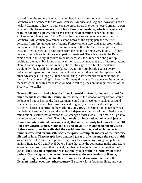strayed from the subject. We must remember: France does not want a prosperous Germany out of concern for her own security; America and England, however, need a healthy Germany, otherwise both can't be prosperous. In order to keep Germany down economically, **France makes use of her claim to reparations, which everyone set at much too high a price, due to Wilson's lack of common sense** and to the excitement of victory from 1918-20, and they became an unbelievable burden on Germany. All German governments stood between the frying pan and the fire: demands from foreign countries (mainly France) on one side, and anger from within on the other. If they fulfilled the foreign demands, then the German people cried treason -- reproaches and accusations from the people can ring very loudly -- if they resisted, then a French military occupation threatened. The adventure in the Ruhr came about in this way. It proved to be unsuccessful for France and she gave up additional attempts, but found other ways to make advantageous use of her reparations claim. I cannot explain all of French political strategy in this brief presentation. I would only like to add that France knew how to fight stubbornly against every reduction of reparations, or how to accept reductions if they could be replaced with other advantages. As long as France could bring in its demands for reparations, as long as American and English loans to Germany did not suffice to ensure its economic reconstruction, then this reconstruction had to fall to pieces on the requirements of the Treaty of Versailles.

**No one will be surprised when the financial world in America looked around for other means to checkmate France on this issue.** If the weapon of reparations could be knocked out of her hands, then Germany could put its economy back on a sound financial basis with help from America and England, and open the door to prosperity to the two largest countries in the world. In June, 1929 a meeting took place between the Federal Reserve Banks and the leading independent bankers of the United States. I found out only later what direction this exchange of ideas took. But first I will go into the international world of oil. **There is, namely, an international oil world just as there is an international banking world; that must certainly be known to you. Oil kings are voracious men. Standard Oil and Royal Dutch are good friends. Both of these enterprises have divided the world into districts, and each has certain numbers reserved for himself. Each enterprise is complete master of the territory allotted to him. These people have amassed great profits through the years in this way.** But Soviet Russia then spoiled everything by introducing strong competition against Standard Oil and Royal Dutch. Since that time the companies make only six to seven percent profit from their capital, but that isn't enough to satisfy the directors' greed. **The Russian competition was especially successful in Germany, because various German governments made overtures to the new leaders of Russia, trying through credits, etc. to allow Russian oil and gas easier access to the German market over any other country.** Be patient for a few more lines, and you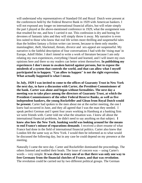will understand why representatives of Standard Oil and Royal Dutch were present at the conferences held by the Federal Reserve Bank in 1929 with American bankers. I will not expound any longer on international financial affairs, but will relate simply the part I played at the above-mentioned conference in 1929, what the assignment was that resulted for me, and how I carried it out. This confession is dry and boring for devotees of fantastic tales and they will simply throw it away. My narrative is even less suited to those who know that real life writes more thrilling and suspenseful tales than the boldest fantasy a fiction writer can invent, because to them only murder, manslaughter, theft, blackmail, threats, divorce and sex-appeal are suspenseful. My narrative is the faithful description of four conversations I had with the 'rising man' in Europe, Adolf Hitler. I don't intend to write a work of literature because I am only relating my own experiences, everything I heard and learned, and I will insert my own opinions here and there so my readers can better orient themselves. **In publishing my experiences I don't mean to awaken hatred against persons, but to expose the misdeeds of a system that controls the world, and that can allow what I myself participated in to happen. "Can allow to happen" is not the right expression. What actually happened is what I mean.** 

**In July, 1929 I was invited to come to the offices of Guaranty Trust in New York the next day, to have a discussion with Carter, the President-Commissioner of the bank. Carter was alone and began without formalities. The next day a meeting was to take place among the directors of Guaranty Trust, at which the President-Commissioners of the other Federal Reserve Banks, as well as five independent bankers, the young Rockefeller and Glean from Royal Dutch would be present.** Carter had spoken to the men about me at the earlier meeting, the one I knew had occurred in June, and they all agreed that I was the man they needed. I speak perfect German and I spent four years working in Hamburg at a banking firm we were friends with. Carter told me what the situation was. I knew all about the international financial problems, he didn't need to say anything on that subject. **I knew also how the New York. banking world was looking around for the means to end France's misuse of reparations demands**. I received a short resume of what France had done in the field of international financial politics. Carter also knew that London felt the same way as New York. I would then be informed as to what would be discussed the following day, but in any case he could depend on my presence at the meeting.

Naturally I came the next day. Carter and Rockefeller dominated the proceedings. The others listened and nodded their heads. The issue of concern was -- using Carter's words -- very simple. **It was clear to every one of us that there was only one way to free Germany from the financial clutches of France, and that was revolution**. The revolution could be carried out by two different political groups. The German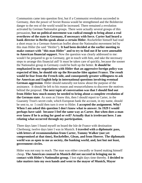Communists came into question first, but if a Communist revolution succeeded in Germany, then the power of Soviet Russia would be strengthened and the Bolshevist danger to the rest of the world would be increased. There remained a revolution activated by German Nationalist groups. There were actually several groups of this persuasion, **but no political movement was radical enough to bring about a real overthrow of the state in Germany, if necessary with force. Carter had heard a bank director in Berlin speak about a certain Hitler.** Rockefeller himself had read a short essay in a German-American leaflet about the Nationalist movement led by this man Hitler (he said "Heitler"). **It had been decided at the earlier meeting to make contact with "this man Hitler" and to try to find out if he were amenable to American financial support.** Now the question was clearly addressed to me: would I be prepared to go to Germany, get in touch with him, and take the necessary steps to arrange this financial aid? It must be taken care of quickly, because the sooner the Nationalist group in Germany could be built up the better. **It should be emphasized in my negotiations with Hitler that an aggressive foreign policy was expected of him, he should stir up the Revanche-Idee against France. The result would be fear from the French side, and consequently greater willingness to ask for American and English help in international questions involving eventual German aggression**. Hitler should naturally not know about the purpose of the assistance. It should be left to his reason and resourcefulness to discover the motives behind the proposal. **The next topic of conversation was that I should find out from Hitler how much money he needed to bring about a complete revolution of the German state**. As soon as I knew this, then I should report to Carter, in the Guaranty Trust's secret code, which European bank the account, in my name, should be sent to, so I could then turn it over to Hitler. **I accepted the assignment. Why? When I am asked this question I don't know what to answer. In 1929 I would perhaps have said: because I feel the same way as Carter. But when does a man ever know if he is acting for good or evil? Actually that is irrelevant here. I am relating what occurred through my participation.** 

Three days later I found myself on board the Isle de France with destination Cherbourg; twelve days later I was in Munich. **I traveled with a diplomatic pass, with letters of recommendation from Carter, Tommy Walker (not yet compromised at that time), Rockefeller, Glean, and from Hoover. The diplomatic world was as open to me as society, the banking world, and, last but not least, government circles.** 

Hitler was not easy to reach. The man was either cowardly or feared making himself cheap. **The American counsul in Munich did not succeed in bringing me in contact with Hitler's Nationalist group.** I lost eight days time thereby. **I decided to take matters into my own hands and went to the mayor of Munich, Mayor**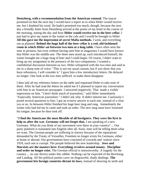**Deutzberg, with a recommendation from the American counsul.** The mayor promised us that the next day I would have a report as to when Hitler would receive me, but I doubted his word. He hadn't promised too much, though, because the next day a friendly letter from Deutzberg arrived at the porter of my hotel in the course of the morning, stating the day and hour **Hitler would receive me in the beer cellar.** I just had to give my name to the waiter in the cafe and I would be brought to Hitler. **All this gave me the impression of secret Mafia methods.** I went, and everything ran as planned. **Behind the huge hall of the beer cellar is a red, old-fashioned room in which Hitler sat between two men at a long table.** I have often seen the man in pictures, but even without having seen him in magazines I would have known that Hitler was the middle one. The three men stood up, each introduced himself, the waiter brought me a huge mug of beer and I could begin. Of course, I didn't want to bring up my assignment in the presence of the two companions. I wanted a confidential discussion between us two. Hitler whispered with the two men and said to me in a sharp tone of voice: "This is not my usual custom, but if you show that you have references, I will consider it." I gave him a few introductory letters. He delayed no longer. One look at the two men sufficed to make them disappear.

I then laid all my reference letters on the table and requested Hitler to take note of them. After he had read the letters he asked me if I planned to report my conversation with him in an American newspaper. I answered negatively. That made a visible impression on him. "I don't think much of journalists," said Hitler immediately. "Especially American journalists." I didn't ask why. It didn't interest me. Cautiously I posed several questions to him. I got an evasive answer to each one, instead of a clear yes or no. In between Hitler finished his huge beer mug and rang. Immediately the waiter who had led me in came and took an order. The new mug must have loosened his tongue, because he then took off.

**"I find the Americans the most likeable of all foreigners. They were the first to help us after the war. Germany will not forget that.** I am speaking of a new Germany. What do you think of our movement over there in your country? ... Our party platform is translated into English after all. Soon, time will be telling them what we want. The German people are suffering in slavery because of the reparations demanded by the Treaty of Versailles. Freedom no longer exists for Germans, either at home or abroad. Our governments have consisted of cowards and traitors since 1918, each one is corrupt. The people believed the new leadership. **Jews and Marxists are the masters here. Everything revolves around money. Discipline and order no longer exist.** The German official is untrustworthy. A tragedy for the country ... no one thrives under this rabble. Nothing can be expected of the Reichstag and Landtag. All the political parties carry on disgraceful, shady dealings. **The government lets foreign countries dictate its laws**, instead of showing its teeth and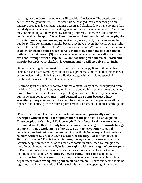realizing that the German people are still capable of resistance. The people are much better than the governments ... How can this be changed? We are carrying on an intensive propaganda campaign against treason and blackmail. We have no more than two daily newspapers and our local organizations are growing continually. They think they are hindering our movement by banning uniforms. Nonsense. The uniform is nothing without the spirit. **We will continue to work on the spirit of the people, the discontent must spread, unemployment must pick up, only then can we make headway**. The government is afraid, because we have proven that we know the right path to the hearts of the people. We offer work and bread. We can also give it, **as soon as an enlightened people realizes it has a right to live and take its place among nations.** The Reichswehr [3] has developed everywhere by our own efforts and our divisions, **through strict discipline. We are not sitting on a utopia of Jewish and Marxist bastards. Our platform is German, and we will not give in an inch."** 

Hitler made a singular impression on me. His short, choppy lines of thought, his chatter, his confused rambling without serious proof made me think that this man was empty inside, and could bring on a wild demagogy with his inflated speech. I mentioned the organization of his movement.

"A strong spirit of solidarity controls our movement. Many of the unemployed from the big cities have joined up, many middle-class people from smaller areas and many farmers from the Platten Lande. Our people give from what little they have to keep our movement going. **Dishonesty and betrayal can't occur because I have everything in my own hands.** The exemplary training of our people draws all the finances automatically to the central point here in Munich, and I am that central point ..."

"Force? But that is taken for granted. **A large movement practically can't be developed without force. The stupid chatter of the pacifists is just laughable. Those people aren't living. Life is strength. Life is force. Look at nature, look at the animal world, there the only law is the law of the strongest ... towards foreign countries? It may work out no other way. I want to leave America out of consideration, but not other countries. Do you think Germany will get back its colonies without force, or Alsace-Lorraine, or the huge Polish territories, or Danzig?** ... Money? That is the crucial issue; money can only be earned when the German people are free to establish their economic stability, then we can grab the most favorable opportunity to **fight for our rights with the strength of our weapons ... France is our enemy**, the other earlier allies are our competitors, that is an important distinction ... **Swindling by Jewish banks must come to an end**. Speculators from Galicia are stripping away the income of the middle class. **Huge department stores are squeezing out small tradesmen** ... Taxes and rents should be regulated and done away with." Hitler stuck his hand in the opening of his brown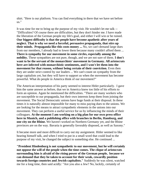shirt. "Here is our platform. You can find everything in there that we have set before us."

It was time for me to bring up the purpose of my visit. He wouldn't let me talk -- "Difficulties? Of course there are difficulties, but they don't hinder me. I have made the liberation of the German people my life's goal, and either I will win or be ruined. **Our biggest difficulty is that the people have become apathetic after years of neglect. That is why we need a forceful, persuasive propaganda, that stirs up their minds. Propaganda like this costs money ...** No, we can't demand large dues from our members, I already had to lower them because many couldn't afford them ... **There is sympathy for our movement in some circles, especially among the nobility.** These sympathies are not pure, though, and we are not sure of them. **I don't want to be the servant of the monarchists' movement in Germany. All aristocrats here are infected with monarchistic sentiments, and I won't let them into the movement for that reason, without being certain of their conviction.** Even then they are under strict control by our leaders ... We can't count on sympathy from the large capitalists yet, but they will have to support us when the movement has become powerful. What do people in America think of our movement?"

The American interpretation of his party seemed to interest Hitler particularly. I gave him the same answer as before, that we in America knew too little of his efforts to form an opinion. Again he mentioned the difficulties. "There are many workers who are susceptible to our propaganda, but their own interests keep them from joining the movement. The Social Democratic unions have huge funds at their disposal. In these times it is naturally almost impossible for many to miss paying dues to the unions. We are looking for the means to attract sympathetic elements in the unions into our movement. They can perform a useful service for us by influencing the minds of their colleagues. **At the moment I am working on a big plan for our own press office here in Munich, and a publishing office with branches in Berlin, Hamburg, and one city on the Rhine.** We haven't worked on Northern Germany yet, and the Rhine provinces are on the way. Bavaria is generally favorably disposed, as well as Saxony."

It became more and more difficult to carry out my assignment. Hitler seemed to like hearing himself talk, and when I tried to put in a small word that could lead to the purpose of my visit, he changed the subject to something else. He continued ...

**"President Hindenburg is not sympathetic to our movement, but he will certainly not oppose the will of the people when the time comes. The clique of aristocrats surrounding him is afraid of the rising power of the German people, because we can demand that they be taken to account for their weak, cowardly position towards foreign countries and Jewish capitalists."** Suddenly he was silent, watched me for a long time, then said acidly: "Are you also a Jew? No, luckily, certainly of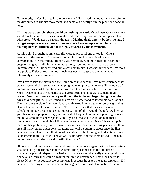German origin. Yes, I can tell from your name." Now I had the opportunity to refer to the difficulties in Hitler's movement, and came out directly with the plan for financial help.

**"If that were possible, there would be nothing we couldn't achieve.** Our movement will die without arms. They can take the uniforms away from us, but our principles will spread. We do need weapons, though ... **Making deals doesn't bother me, and I can get weapons everywhere with money. We have set up a school for arms training here in Munich, and it is highly favored by the movement."** 

At this point I brought up my carefully worded proposal and asked for Hitler's estimate of the amount. This seemed to perplex him. He rang. A whispered conversation with the waiter. Hitler played nervously with his notebook, seemingly deep in thought. A tall, thin man of about forty, looking militaristic in a brown uniform, came in. Hitler offered him a seat next to him. I was not introduced. Without any preface Hitler asked him how much was needed to spread the movement intensively all over Germany.

"We have to take the North and the Rhine areas into account. We must remember that we can accomplish a great deal by helping the unemployed who are still members of unions, and we can't forget how much we need to completely fulfill our plans for Storm-Detachments. Armaments cost a great deal, and smugglers demand high prices." **Von Heydt took a long pencil from the table and began to figure on the back of a beer plate.** Hitler leaned an arm on his chair and followed his calculations. Then he took the plate from van Heydt and thanked him in a tone of voice signifying clearly that he should leave us alone. "Please remember that for us to make a calculation in our circumstances is not easy. First of all, I would like to know how far your backers are prepared to go, and second, if they will continue supporting us once the initial amount has been spent. Von Heydt has made a calculation here that I fundamentally agree with, but I first want to know what you think of these two points; then another problem is, that we have based our estimate on existing plans when there are still many others under considerations that will be put in to effect once the first have been completed. I am thinking of, specifically, the training and education of our detachments in the use of gliders, as well as uniforms for the unemployed -- the ban on uniforms is harmless -- and of still other plans."

Of course I could not answer him, and I made it clear once again that this first meeting was intended primarily to establish contact. His questions as to the amount of financial help would depend on whether my backers would actually come up with the financial aid, only then could a maximum limit be determined. This didn't seem to please Hitler, or he found it too complicated, because he asked me again anxiously if I personally had any idea of the amount to be given him. I was also unable to answer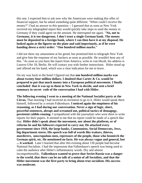this one. I expected him to ask now why the Americans were making this offer of financial support, but he asked something quite different. "When could I receive the money?" I had an answer to this question -- I guessed that as soon as New York received my telegraphed report they would quickly take steps to send the money to Germany if they could agree on the amount. He interrupted me again. **"No, not to Germany, it is too dangerous. I don't trust a single German bank. The money must be deposited in a foreign bank, where I can then have it at my disposal. He looked again at the figures on the plate and said imperiously, as if he were handing down a strict order: "One hundred million marks."**

I did not show my amazement at his greed, but promised him to telegraph New York and give him the response of my backers as soon as possible. He wouldn't hear any of this. "As soon as you have the report from America, write to von Heydt, his address is Lutzow-Ufer 18, Berlin. He will contact you with further instructions. Hitler stood up and offered me his hand, which was a clear indication for me to leave.

On my way back to the hotel I figured out that **one hundred million marks was about twenty-four million dollars. I doubted that Carter & Co. would be prepared to put that much money into a European political movement. I finally concluded that it was up to them in New York to decide, and sent a brief summary in secret code of the conversation I had with Hitler.** 

**The following evening I went to a meeting of the National Socialist party at the Circus.** That morning I had received an invitation to go to it. Hitler would speak there himself, followed by a certain Falkenhayn. **I noticed again the emptiness of his reasoning, as I had during our conversation. Never a sign of logic, short, powerful sentences, abrupt and screamed out, political tactics of demagogy, persistent rabble-rousing.** I sympathized with the journalists who were there to write reports for their papers. It seemed to me that no report could be made of a speech like that. **Hitler didn't speak about the movement, nor about the platform, or of reforms he and his followers expected to carry out. He attacked every government since 1918, the large banks, Communists, Social Democrats, Jews, big department stores. His speech was full of words like traitors, thieves, murderers, unscrupulous men, repressors of the people, those who besmirch the German spirit, etc. He mentioned no facts. He was always vague and general, but ... it worked.** Later I learned that after this evening about 130 people had become National Socialists. I had the impression that Falkenhayn's speech was being used to calm the audience after Hitler's inflammatory words. Dry and almost incomprehensible, **Falkenhayn wanted to prove that Soviet Russia was a danger to the world, that there can be no talk of a union of all Socialists, and that the Hitler movement was the first party to bring about true socialism. His success was moderate.**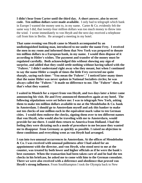**I didn't hear from Carter until the third day. A short answer, also in secret code. Ten million dollars were made available.** I only had to telegraph which bank in Europe I wanted the money sent to, in my name. Carter  $\&$  Co. evidently felt the same way I did, that twenty-four million dollars was too much money to throw into the wind. I wrote immediately to von Heydt and the next day received a telephone call from him in Berlin. He arranged a meeting in my hotel.

**That same evening von Heydt came to Munich accompanied by an undistinguished looking man, introduced to me under the name Frey. I received the men in my room and informed them that New York was prepared to donate ten million dollars to a European bank, in my name. I would then dispose of it according to Hitler's wishes. The payment and transfer of the money must be regulated carefully. Both acknowledged this without showing any sign of surprise, and added that they could settle nothing without having talked with the "Fuhrer." I didn't understand right away who they meant, but when I continued to say the name Hitler a couple of times the little Frey corrected me quite sharply, saying each time: "You mean the 'Fuhrer'." I noticed later many times that the name Hitler was never spoken in National Socialists circles; he was always called the "Fuhrer." It made no difference to me. The "Fuhrer" then, if that's what they wanted.** 

**I waited in Munich for a report from von Heydt, and two days later a letter came announcing his visit. He and Frey announced themselves again at my hotel. The following stipulations were set before me: I was to telegraph New York, asking them to make ten million dollars available to me at the Mendelsohn & Co. bank in Amsterdam. I should go to Amsterdam myself and ask this banker to make out ten checks of one million each in the equivalent mark value to ten German cities. I would then endorse the checks, signing them over to ten different names that von Heydt, who would also be traveling with me to Amsterdarn, would provide for me there. I could then return to America from Holland. I had the feeling they were dictating such a mode of procedure to me because they wanted me to disappear from Germany as quickly as possible. I raised no objection to these conditions and everything went as von Heydt had arranged.** 

**I ran into two unusual occurrences in Amsterdam. At the offices of Mendelsohn & Co. I was received with unusual politeness after I had asked for an appointment with the director, and von Heydt, who stood next to me at the counter, was treated by both lower and higher officials as if he were the bank's best customer. When the transaction had been taken care of and he had the ten checks in his briefcase, he asked me to come with him to the German consulate. There we were also received with a deference and obedience that proved von Heydt's strong influence.** From Southhampton I took the Olympia back to New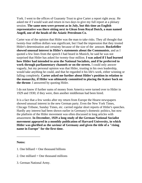York. I went to the offices of Guaranty Trust to give Carter a report right away. He asked me if I would wait and return in two days to give my full report at a plenary session. **The same men were present as in July, but this time an English representative was there sitting next to Glean from Royal Dutch, a man named Angell, one of the heads of the Asiatic Petroleum Co.** 

Carter was of the opinion that Hitler was the man to take risks. They all thought that twenty-four million dollars was significant, but I had the impression that they trusted Hitler's determination and certainty because of the size of the amount. **Rockefeller showed unusual interest in Hitler's statements about the Communists**, and as I quoted a few lines from the speech I had heard in Munich, he said he was not surprised that Hitler has asked for twenty-four million. **I was asked if I had learned how Hitler had intended to arm the National Socialists, and if he preferred to work through parliamentary channels or on the streets.** I could only answer vaguely, but my personal opinion was that Hitler, trusting in his own leadership, would take anything he could, and that he regarded it his life's work, either winning or falling completely. **Carter asked me further about Hitler's position in relation to the monarchy, if Hitler was ultimately committed to placing the Kaiser back on the throne**. I answered by quoting Hitler.

I do not know if further sums of money from America were turned over to Hitler in 1929 and 1930; if they were, then another middleman had been hired.

It is a fact that a few weeks after my return from Europe the Hearst newspapers showed unusual interest in the new German party. Even the New York Times, Chicago Tribune, Sunday Times, etc. carried regular short reports of Hitler's speeches. Hardly any interest had been shown earlier in Germany's domestic politics, but now the platform of the Hitler movement was often discussed in long articles with amazement. **In December, 1929 a long study of the German National Socialist movement appeared in a monthly publication of Harvard University, in which Hitler was glorified as the saviour of Germany and given the title of a "rising name in Europe" for the first time.** 

#### **Notes:**

\_\_\_\_\_\_\_\_\_\_\_\_\_\_\_

- 1. One billiard  $=$  One thousand billions
- 2. One milliard  $=$  One thousand millions
- 3. German National Army.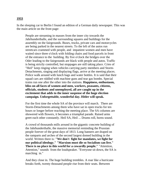## **1933**

In the sleeping car to Berlin I found an edition of a German daily newspaper. This was the main article on the front page:

People are streaming in masses from the inner city towards the Jahrhunderthalle, and the surrounding squares and buildings for the assembly on the fairgrounds. Buses, trucks, private cars and motorcycles are being parked in the nearest streets. To the left of the autos run streetcars crammed with people, and impatient women and men have waited since three o'clock with folding chairs and food parcels in front of the entrance to the building. By five o'clock the bridges over the Oder leading to the fairgrounds are black with people and autos. Traffic is being strictly controlled, but stoppages are still taking place. Cries of "Heil" keep ringing when vehicles carrying party members and Storm-Detachments, singing and displaying flags, arrive at the meeting places. Police walk around with lunch bags and water bottles. It is said that their squad cars are riddled with machine guns and tear gas bombs. Special trains run one after the other into the stations. **Happiness, enthusiasm, bliss on all faces of women and men, workers, peasants, citizens, officials, students and unemployed, all are caught up in the excitement that adds to the inner suspense of the huge election campaign. Unforgettable, wonderful day. Hitler will speak.** 

For the first time the whole SA of the province will march. There are Storm-Detachments among them who have sat in open trucks for ten hours or longer before reaching the meeting place. The SA columns are showered with flowers, it becomes a triumphal parade. Raised arms greet each other constantly. Heil SA, Heil ... Drums roll, horns sound.

A crowd of thousands mills around in the gigantic concrete building of the Jahrhunderthalle, the massive memorial reminding the Prussian people forever of the great days of 1813. Long banners are draped on the ramparts and arches of the second largest domed building in the world. Written there is: **"We don't fight for mandates, we fight for our political ideology." "Marxism must die so Socialism can live." There is no place in this world for a cowardly people."** "Attention, Attention," sounds from the loudspeaker. "Everyone sit down, the SA is marching in."

And they close in. The huge building trembles. A roar like a hurricane breaks forth, twenty thousand people rise from their seats. Between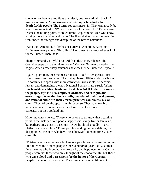shouts of joy banners and flags are raised, one covered with black. **A mother screams. An unknown storm-trooper has died a hero's death for his people.** The Storm troopers march in. They can already be heard singing outside: "We are the army of the swastika." Enthusiasm reaches the boiling point. More columns keep coming. Men who know nothing more than duty and battle. The floor shakes under the marching feet, under the strength and discipline of the brown battalions.

"Attention, Attention, Hitler has just arrived. Attention, Attention." Excitement everywhere. "Heil, Heil." He comes, thousands of eyes look for the Fuhrer. There he is.

Sharp commands, a joyful cry: "Adolf Hitler." Now silence. The Gauleiter steps up to the microphone: "My dear German comrades," he begins. After a few sharp sentences he closes: "The Fuhrer will speak."

Again a giant roar, then the masses listen. Adolf Hitler speaks. First slowly, measured, and cool. The first applause. Hitler nods for silence. He continues to speak with more conviction, irresistible, he becomes fervent and demanding, the non-National Socialists are struck. **What this front-line soldier lieutenant first class Adolf Hitler, this man of the people, says is all so simple, so ordinary and so right, and everything so true, that know-it-alls, boastful of their development, and rational ones with their eternal practical complaints, are all silent.** They follow the speaker with suspense. They have trouble understanding this man, whom they have come to see out of curiosity, but they applaud him.

Hitler indicates silence. "Those who belong to us know that a turning point in the history of our people happens not every five or ten years, but perhaps only once in a century." Now he shrieks loudly: "Party platforms are worthless." Those people standing on the sidelines, the disappointed, the ones who have been betrayed so many times, listen carefully.

"Thirteen years ago we were broken as a people, and a broken economic life followed the broken people. Once, a hundred years ago ... at that time the ones who brought new prosperity and happiness to the German people were not those who only thought of the economic life, but **those who gave blood and possessions for the honor of the German people**. It cannot be otherwise. The German economic life is not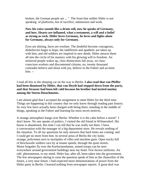broken, the German people are ... " The front-line soldier Hitler is not speaking of platforms, but of sacrifice, submission and work.

# **Now his voice sounds like a drum roll, now he speaks of Germany, and how. Hearts are inflamed, what a testament, a will and a belief as strong as rock. Hitler loves Germany, he loves and fights alone for Germany, always only for Germany.**

Eyes are shining, faces are resolute. The doubtful become courageous, disbelievers begin to hope, the indifferent and apathetic are taken up with him, and old soldiers are inspired to new deeds. Hitler attracts them all into the circle of his mastery with his glowing will to freedom. An enslaved people wakes up, class distinctions fall away, no classconscious workers and discontented citizens, no, twenty thousand comrades believe and shout with joy, believe in the Fuhrer and acclaim him. --

# I read all this in the sleeping car on the way to Berlin. **I also read that von Pfeffer had been dismissed by Hitler, that von Heydt had stepped down from the party, and that Strasser had been left cold because his brother had incited mutiny among the Storm-Detachments.**

I am almost glad that I accepted the assignment to meet Hitler for the third time. Things are happening in this country that we only know through reading past history. So very few have actually been charged with being there, standing in the middle of things, speaking to the Fuhrer and learning his most secret motives.

A strange atmosphere hangs over Berlin. Whether it is the calm before a storm? I don't know. No one speaks of politics. I visited the old friend in Wilmersdorf. His house is abandoned, this time I can tell that he was really not there. I have a conversation with the manager of a big department store. He reveals nothing of the situation. To all my questions he only answers that hard times are coming, and I could get no more from him. In several areas of Berlin the city looks strange, policemen next to stockpiles of rifles and machine guns. Open trucks full of Reichswehr soldiers race by at insane speeds, through the quiet streets. Motor brigades fly over the Kurfurstendamm, armed troops can be seen everywhere around government buildings near my hotel. Few brown uniforms. An odd phenomenon, to my mind. Hitler has, after all, been taken into the government. The few newspapers daring to raise the question speak of him as the chancellor of the future, a very near future. I had expected more demonstrations of power from the Hitler party in Berlin. I learned nothing from newspaper reports. A great deal was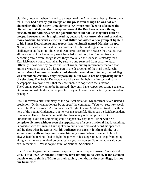clarified, however, when I talked to an attache of the American embassy. He told me that **Hitler had already put clamps on the press even though he was not yet chancellor, that his Storm-Detachments (SA) were mobilized to take over the city at the first signal, that the appearance of the Reichswehr, even though official, meant nothing, since the government could not use it against Hitler's troops, however much it might need to, because it was unreliable and contained many National Socialist elements; that Hitler had added a new group of fighters to his Storm-Detachments and troops that he himself named Murder-troops**. Nobody in the other political parties protested this brutal designation, which is a challenge to civilization. The Social Democrats are broken because they realize that all their years of parliamentary work have led to nothing, the Communists are becoming afraid even though it was they who yelled the loudest. Yesterday their Karl Liebknecht house was taken by surprise and searched from cellar to attic. Officially it was done by police and Reichswehr, but my informant remarked that Hitler's Murder-troops had a large part in the destruction of the Karl Liebknechthouse. **Many Communist leaders had already been taken prisoner, the red flag was forbidden, certainly only temporarily, but it would not be appearing before the elections.** The Social Democrats are lukewarm in their manifestos and daily newspapers. Everyone feels that they are unable to cope with the situation. The German people want to be impressed, they only have respect for strong speakers. Germans are just children, naive people. They will never be attracted by an important principle.

First I received a brief summary of the political situation. My informant even risked a prediction. "Hitler can no longer be stopped," he continued. "You will see, next week he will be Reichskanzler. A von Papen can't fight it, a von Schleicher tried it with the help of the young Hindenburg, but he was unsuccessful. Hitler can be Reichsprasident if he wants. He will be satisfied with the chancellery only temporarily. But Hindenburg is old and something could happen any day, then **Hitler will be a complete dictator without even the appearance of a constitutional head.** Anything is possible with this man. I have spoken to him a few times and heard his speeches, and **he does what he wants with his audience. He doesn't let them think, just screams and yells so they can't resist him any more.** When I listened to him I always had the feeling I had to fight the power of his suggestion, to keep from going along with him one hundred percent. When you ask yourself later what he said you can't remember it. What do you think of National Socialism?"

I didn't want to give him an answer, especially not a complete answer. "We should wait," I said, **"we Americans ultimately have nothing to do with it. If the German people want to think of Hitler as their savior, then that is their privilege, it's not our business."**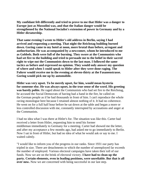**My confidant felt differently and tried to prove to me that Hitler was a danger to Europe just as Mussolini was, and that the Italian danger would be strengthened by the National Socialist's extension of power in Germany and by a Hitler dictatorship.** 

**That same evening I wrote to Hitler's old address in Berlin, saying I had arrived and requesting a meeting. That night the Reichstag building burned down. Goring came to my hotel at noon, more brutal than before, arrogant and authoritarian. He was accompanied by a newcomer, whom he introduced to me as Gobbels. Both were full of the burning. They swore at the Communists who had set fire to the building and tried to persuade me to the belief in their sacred right to wipe out the Communists down to the last man. I followed the same tactics as before and expressed no opinion. They would only answer my question of where and when I could speak to Hitler after they were done raging. The Fuhrer would receive me in the evening at eleven-thirty at the Fasanenstrasse. Goring would pick me up by automobile.** 

**Hitler was very upset. To be merely upset, for him, would mean hysteria for someone else. He was always upset, in the true sense of the word. His greeting was barely polite.** He raged about the Communists who had set fire to the Reichstag, he accused the Social Democrats of having had a hand in the fire, he called on the German people as if he had thousands in front of him. I can't reproduce the whole raving monologue here because I retained almost nothing of it. It had no coherence. He went on for a full half hour before he sat down at the table and began a more or less controlled discussion with me, constantly interrupted by accusations and anger at the Communists.

I had no idea what I was there at Hitler's for. The situation was like this. Carter had received a letter from Hitler, requesting him to send his former middleman immediately to Germany for a meeting. Carter had showed me the letter, and after my acceptance a few months ago, had asked me to go immediately to Berlin. Now I sat in front of Hitler, but had no idea of what he would ask or say to me. I waited calmly.

"I would like to inform you of the progress in our ranks. Since 1931 our party has tripled in size. There are detachments in which the number of unemployed far exceeds the number of employed. Various electoral campaigns have taken their toll of our funds. Now we are on the brink of electoral victory. **I have had to clean up the party. Certain elements, even in leading positions, were unreliable. But that is all over now.** Now we are concerned with being successful in our last step.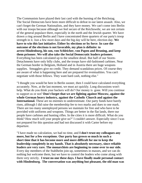The Communists have played their last card with the burning of the Reichstag. The Social Democrats have been more difficult to defeat in our latest assault. Also, we can't forget the German Nationalists, and they have money. We can't come into Berlin with our troops because although we feel secure of the Reichswehr, we are not certain of the general populace there, especially in the north and the Jewish quarter. We have drawn a ring around Berlin and I have concentrated three quarters of our party's troop strength in it. Just a few more days and the big day will be here, election day. **We have to win this last initiative. Either by elections or by force**. **In case the outcome of the elections is not favorable, my plan is definite: to arrest Hindenburg, his son, von Schleicher, von Papen and Bruning, and keep them prisoner. We will also take the Social Democratic leaders prisoner.** Everything has been calculated up to the smallest detail. But half of our Storm-Detachments have only billy clubs, and the troops have old-fashioned carbines. Near the German border in Belgium, Holland and in Austria there are huge weapons supplies. Smugglers give no credit. They demand scandalous prices. Of course they are aware of what is happening here and are prepared for eventualities. You can't negotiate with those fellows. They want hard cash, nothing else."

"I thought you would be here in Berlin sooner, then I could have calculated everything accurately. Now, at the last moment, we must act quickly. Long discussions won't help. What do you think your backers will do? Our money is gone. Will you continue to support us or not? **Don't forget that we are fighting against Moscow, against the whole German heavy industry, against the Catholic Church and against the International.** These are no enemies to underestimate. Our party funds have barely risen, although I did raise the membership fee to two marks and dues to one mark. There are too many unemployed persons we maintain for free and who have to be provided with uniforms and weapons. Things are better in the flat lands, there our people have carbines and hunting rifles. In the cities it is more difficult. What do you think? How much will your people give us?" I couldn't answer. Especially since I was not prepared for this question and had not discussed it with Carter before my departure.

"I have made no calculation, we had no time, and **I don't trust my colleagues any more, but for a few exceptions**. **Our party has grown so much in such a short time that it has become more and more difficult for me to keep the leadership completely in my hands. That is absolutely necessary, since reliable leaders are very rare. The monarchists are beginning to come over to our side.** Every day members of the Stahlhelm join up, sometimes in masses, and we can do nothing but welcome them, but we have to control the leaders who come along with them very strictly. **I trust no one these days. I have finally made personal contact with Hindenburg. The conversation was anything but pleasant, the old man was**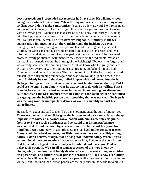**very reserved, but I pretended not to notice it. I have time. He will know soon enough with whom he is dealing. When the day arrives he will either play along or disappear. I don't make compromises.** You are no Jew are you? No, I remember, your name is German, yes, German origin. It is better for you to travel in Germany with a German pass. Gobbels can take care of it. You know him, surely. He, along with Goring, is one of my best partners. Von Heydt is no longer with us, you know that. Neither is von Pfeffer. **The Strassers are laughable. A mutiny in the SA against me, a full meeting of all the Gauleiter, and the incident was over.**  Strength, quick action, daring, are everything. Instead of acting quickly and not waiting, the Strassers and their people prepared and conspired in secret, and I was informed of all their activities when I stepped in at the last moment. They are weak brothers, overly politicized, with manners they took from the red rabble. What are they saying in America about the burning of the Reichstag? Obviously he forgot that I was already here when the building burned. "But we know who the guilty ones are. We can prove everything. The Communist set fire to it, but behind him are both Communists and Social Democrats. They will regret it. ..." Hitler had slowly worked himself up to a frightening temper again and was now walking up and down in the room. **Suddenly he ran to the door, pulled it open wide and looked into the hall. He began to rage and swear at someone who must be standing on the step. But I could see no one. I don't know what he was trying to do with his yelling. First I thought he wanted to prevent someone in the hall from hearing our discussion. But that wasn't the case, because when he came into the room again he continued to rage against the invisible person over something that was not clear. Perhaps it was the long wait for unimportant details, or over his inability to trust his subordinates.** 

He sat down again and said to me: "You have not mentioned the sum of money yet." **There are moments when Hitler gave the impression of a sick man. It was always impossible to carry on a normal conversation with him. Sometimes his jumps from A to Z were such a hindrance and so stupid that his mental balance was doubtful. I think he has a hypernervous nature. In the last few years his mind has been occupied with a single idea. He has lived under constant tension. Many would have broken down, but Hitler seems to have an incredibly strong nature. I don't believe, though, that he has great understanding. When I try to summarize all the conversations I have had with him, I come to the conclusion that he is not intelligent, but unusually self-centered and tenacious. That is, I believe, his strength. We can all recognize a person of this type in our own circles, who, often dumb and barely developed, sacrifices everything for an idea or a possession, and either wins or perishes because of it. This is how I see Hitler.**  Whether he will be a blessing or a curse for a people like the Germans, only the future will tell, but I do think the German people are the only ones in the world to tolerate a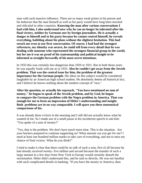man with such massive influence. There are so many weak points in his person and his behavior that the man himself as well as his party would have long been mocked and ridiculed in other countries. **Knowing the man after various conversations I had with him, I also understand now why he can no longer be tolerated after his final victory, neither by Germans nor by foreign journalists. He is actually a danger to himself and to his party because he cannot control himself, he reveals everything, babbling about his plans without the slightest hesitation. This had struck me even at our first conversation. Of course, I had had the strongest references, my identity was secure, he could tell from every detail that he was dealing with someone who represented the strongest financial group in the world, but for me it was no proof of his statesmanship and political insight to be informed so straight-forwardly of his most secret intentions.** 

In 1933 this was certainly less dangerous than 1929 or 1931. But in both those years he was equally frank with me as in 1933. **Also he couldn't get away from the Jewish problem. That was the central issue for him, the problem of the greatest importance for the German people.** His ideas on this subject would be considered laughable by an American high school student. He absolutely denies all historical fact, and I believe he knows nothing about the modern concept of "race."

**After his question, or actually his reproach, "You have mentioned no sum of money," he began to speak of the Jewish problem, and by God, he began to compare the German problem with the Negro problem in America. That was enough for me to form an impression of Hitler's understanding and insight. Both problems are in no way comparable. I will spare you these nonsensical comparisons of his.** 

It was already three o'clock in the morning and I still did not actually know what he wanted of me. So I made use of a small pause in his incoherent speech to ask him: "You spoke of a sum of money?"

"Yes, that is the problem. We don't have much more time. This is the situation. Are your backers prepared to continue supporting us? What amount can you get for me? I need at least one hundred million marks to take care of everything, and not to miss my chance of final victory. What do you think?"

I tried to make it clear that there could be no talk of such a sum, first of all because he had already received twenty- five million and second because the transfer of such a large amount in a few days from New York to Europe would certainly disturb the stockmarket. Hitler didn't understand this, and he said so directly. He was not familiar with such complicated details in banking. "If you have the money in America, then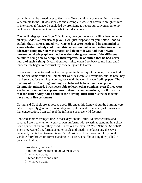certainly it can be turned over to Germany. Telegraphically or something, it seems very simple to me." It was hopeless and a complete waste of breath to enlighten him in international finance. I concluded by promising to report our conversation to my backers and then to wait and see what their decision was.

"You will telegraph, won't you? Do it here, then your telegram will be handled more quickly. Code? We can also help you, I will just telephone for you." **Now I had to explain that I corresponded with Carter in a secret code and he demanded to know whether nobody could read this cablegram, not even the directors of the telegraph company? He was amazed and thought it was bad that private persons could telegraph each other without the government of the different countries being able to decipher their reports. He admitted that he had never heard of such a thing.** It was about four-thirty when I got back to my hotel and I immediately began to construct my code telegram to Carter.

It was very strange to read the German press in those days. Of course, one was told that Social Democratic and Communist weeklies were still available, but the hotel boy that I sent out for them kept coming back with the well- known Berlin papers. **The burning of the Reichstag building was believed to be without exception a Communist misdeed. I was never able to learn other opinions, even if they were available. I read other explanations in America and elsewhere, but if it is true that the Hitler party had a hand in the burning, then Hitler is the best actor I have met in five continents.**

Goring and Gobbels are almost as good. His anger, his frenzy about the burning were either completely genuine or incredibly well put on, and even now, just thinking of that conversation, I can still feel the influence of those wild feelings.

I noticed another strange thing in those days about Berlin. At street corners and squares I often saw ten or twenty brown uniforms with swastikas standing in a circle. For a quarter of an hour they cried: "Clear out the manure! Vote National Socialist!" Then they walked on, formed another circle and cried: "The latest egg the Jews have laid, that is the German State's Party!" At noon time I saw out of my hotel window forty brown uniforms standing in a circle, a half hour long they yelled in constant rhythm:

Proletarian, wake up! If to fight for the freedom of German work Is what you want, If bread for wife and child Is what you want,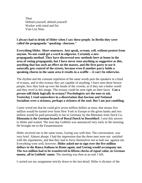Then Defend yourself, defend yourself Worker with mind and fist Vote List Nine.

**I always had to drink of Hitler when I saw these people. In Berlin they were called the propaganda "speaking- choruses."** 

**Everything Hitler. Short sentences. Just speak, scream, yell, without protest from anyone. No one could get a word in edgewise. Certainly a new propaganda method. They have discovered new methods here at home in the area of voting propaganda, but I have never seen anything as suggestive as this, anything that has such an effect on the masses, and the first party to use it naturally gets control of the streets, because even if another parry holds a speaking chorus in the same area it results in a scuffle -- it can't be otherwise.** 

The rhythm and the constant repetition of the same words puts the speakers in a kind of ecstasy, and in this ecstasy they are capable of anything. I have seen these brown people, how they look up over the heads of the crowds, as if they see a better world and they revel in this image. The ecstasy could be seen right on their faces. **Can a person still think logically in ecstasy? Psychologists are the ones to ask. Yesterday I read somewhere in a dissertation that fascism and National Socialism were a sickness, perhaps a sickness of the soul. But I am just rambling.**

Carter wired me that he could give seven million dollars at most, that means five million would be turned over from New York to Europe to the given banks and two million would be paid personally to me in Germany by the Rhenania Joint Stock Co. **Rhenania is the German branch of Royal Dutch in Dusseldorf.** I sent this answer to Hitler and waited. The next day Gobbels was announced very early in the morning. He brought me to the Fasanenstrasse.

Hitler received me in the same room, Goring was with him. The conversation was very brief. Almost abrupt. I had the impression that the three men were not satisfied with the stipulations, and that they had to force themselves not to lash out against me. Everything went well, however. **Hitler asked me to sign over the five million dollars to the Banca Italiana in Rome again, and Goring would accompany me. The two million had to be transferred in fifteen checks of equal value, in German money, all in Gobbels' name.** The meeting was then at an end. I left.

I carried out my assignment strictly down to the last detail. Hitler is dictator of the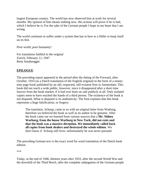largest European country. The world has now observed him at work for several months. My opinion of him means nothing now. His actions will prove if he is bad, which I believe he is. For the sake of the German people I hope in my heart that I am wrong.

The world continues to suffer under a system that has to bow to a Hitler to keep itself on its feet.

Poor world, poor humanity!

For translation faithful to the original Zurich, February 11, 1947 Rene Sonderegger

# **EPILOGUE**

The preceding report appeared in the period after the dating of the Forward, after October, 1933 (as a Dutch translation of the English original) in the form of a ninetynine page book published by an old, respected, still existent firm in Amsterdam. This book did not reach a wide public, however, since it disappeared after a short time forever from the book market, if it had ever been on sale publicly at all. Only isolated copies seem to have reached the hands of a third person. The existence of the book is not disputed. What is disputed is its authenticity. The firm explains that this book represents a huge falsification, or forgery:

The translator, Schoup, came to us with an original letter from Warburg, therefore we believed the book as well as its author to be genuine. After the book came out we learned from various sources that a **Mr. Sidney Warburg, from the house Warburg in New York, did not exist and that the book was a massive deception. We immediately called back all copies from book dealers and destroyed the whole edition**. We don't know if Schoup still lives: unfortunately he was never pursued.

The preceding German text is the exact word for word translation of the Dutch book edition.

\*\*\*

Today, at the end of 1946, thirteen years after 1933, after the second World War and the downfall of the Third Reich, after the complete subjugation of the German people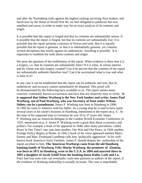and after the Nuremberg trials against the highest ranking surviving Nazi leaders, and faced now by the threat of World War III, we feel obligated to publicize this text, unedited and uncut, in order to make way for an exact analysis of its contents and origin.

It is possible that this report is forged and that its contents are substantially untrue. It is possible that the report is forged, but that its contents are substantially true. It is possible that the report presents a mixture of fiction and truth. But it is equally possible that he report is genuine, or that it is substantially genuine, yet contains several deceptions that testify against its authenticity. Anything is possible. It is important to establish the truth about contents and origin.

We pose the question of the truthfulness of the report. What evidence is there that it is a forgery, i.e. that its contents are substantially false? If it is false, in whose interest and by whom was this forgery created? Can it be proven that the contents of the report are substantially authentic therefore true? Can it be ascertained what is true and what is false in it?

In any case it can be established that the report can be authentic and true, that its authenticity and accuracy cannot immediately be disputed. This proof will be demonstrated by the following facts available to us. The report names many concrete, commonly known occurrences and facts that are relatively easy to verify. **It is supposed that Sidney Warburg is the New York banker and writer James Paul Warburg, son of Paul Warburg, who was Secretary of State under Wilson. Sidney can be a pseudonym.** James P. Warburg was born in Hamburg in 1896. In 1902 he came to America with his father. As a young man he is said to have spent several years in his uncle's business in Hamburg, mentioned in the report on p. 6. At the time of his supposed trips to Germany he was 33 to 37 years old. James P. Warburg was an American delegate to the London World Economic Conference in 1933, mentioned on p. 4. James P. Warburg wrote a great deal about economics and politics. For example a book of his appeared in 1940, after many precedents, called Peace In Our Time?, one year later another, Our War and Our Peace, in 1944 another, Foreign Policy Begins at Home. In 1942 a book of his verse appeared entitled Man's Enemy and Man. Ferdinand Lundberg calls him "politically aggressive" in his wellknown book America's Sixty Families. James P. should dispute the authorship of the report ascribed to him. **The American Warburgs came from the old Hamburg banking family of Warburg. Felix Moritz Warburg, the promoter of Zionism, was born in 1871 in Hamburg, went to the U.S.A. in 1894 and married there in 1895 a daughter of Jacob Schiff from the banking house Kuhn, Loeb and Co.** Felix had four sons who can eventually come into question as authors of the report, if the evidence of Warburg authorship is actually accurate. The case is improbable,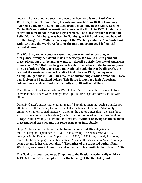however, because nothing seems to predestine them for this role. **Paul Moria Warburg, father of James Paul, his only son, was born in 1868 in Hamburg, married a daughter of Salomon Loeb from the banking house Kuhn, Loeb & Co. in 1895 and settled, as mentioned above, in the U.S.A. in 1902. A relatively short time later he sat in Wilson's government. The oldest brother of Paul and Felix, Max M. Warburg, was born in Hamburg in 1867 and remained head of the Hamburg firm. With the marriage of the Warburgs into the New York bank Kuhn & Loeb, the Warburgs became the most important Jewish financial capitalist power.** 

**The Warburg report contains several inaccuracies and errors that, at first glance, strengthen doubt in its authenticity. We would like to point out these places. On p. 2 the author wants to "describe briefly the state of American finance in 1929." But then he goes on to refer to incidents in the following years. The dissolution of the Darmstadt and National Bank, the Nordwolle crash, the crisis of the Austrian Kredit-Anstalt all took place in 1931, the payment of Young-Obligations in 1930. The amount of outstanding credits abroad the U.S.A. has, is given as 85 milliard dollars. This figure is much too high. American outstanding credits abroad were actually only 18 milliard dollars.** 

The title runs Three Conversations With Hitter. On p. 5 the author speaks of "four conversations." There were exactly three trips and five separate conversations with Hitler.

On p. 24 Carter's answering telegram reads: "Explain to man that such a transfer (of 200 to 500 million marks) to Europe will shatter financial market. Absolutely unknown on international territory." On p. 38 the author writes that "the transfer of such a large amount in a few days (one hundred million marks) from New York to Europe would certainly disturb the stockmarket." **Without knowing too much about these financial transactions, this fear seems to us improbable.** 

On p. 30 the author mentions that the Nazis had received 107 delegates in the Reichstag on September 14, 1932. That is wrong. The Nazis received 107 delegates in the Reichstag on September 14, 1930, in 1932 they already had many more. On the same page the author writes: "My grandfather came to America ninety years ago, my father was born there." **The father of the supposed author, Paul Warburg, was born in Hamburg and settled with his family in the U.S.A. in 1902.** 

**The Nazi rally described on p. 32 applies to the Breslau election rally on March 1, 1933. Therefore it took place after the burning of the Reichstag and**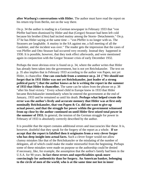**after Warburg's conversations with Hitler.** The author must have read the report on his return trip from Berlin, not on the way there.

On p. 34 the author is reading in a German newspaper in February 1933 that "von Pfeffer had been dismissed by Hitler and that (Gregor) Strasser had been left cold because his brother (Otto) had incited mutiny among the Storm- Detachments." On p. 37 he has Hitler saying at the same time -- "von Pfeffer is no longer with us. The Strassers are laughable. A mutiny in the SA against me, a full meeting of all the Gauleiter, and the incident was over." The reader gets the impression that the cases of von Pfeffer and Otto Strasser had occurred very recently. Instead they happened in 1930. It is possible, however, that they took effect afterwards, and were mentioned again in conjunction with the Gregor Strasser crisis of early December 1932.

Perhaps the most obvious error is found on p. 34, where the author writes that Hitler has already been taken into the government, but is not yet Reichskanzler. The text on p. 35 also implies that in February 1933 according to the author von Papen, not yet Hitler, is chancellor. **One can conclude from a sentence on p. 24 ("We should not forget that in 1931 Hitler was not yet Reichskanzler, just leader of a strong political party") that the author knows as he is writing the report in the summer of 1933 that Hitler is chancellor.** The same can be taken from the phrase on p. 38 "after his final victory." Every school child in Europe knew in 1933 that Hitler became Reichskanzler immediately when he entered the government at the end of January, 1933 and he remained so until his death. **Perhaps what helped create the error was the author's lively and accurate memory that Hitler was at first only nominally Reichskanzler, that von Papen & Co. did not want to give up actual power, and that the struggle for power within the government witnessed from up close by the author continued on until Hitler first seized total power in the summer of 1933.** In general, the tension of the German struggle for power in February of 1933 is absolutely correctly described by the author.

It is possible that the report contains additional errors and inaccuracies like these. It is, however, doubtful that they speak for the forgery of the report as a whole. **If we accept that the report is falsified then it originates from a very clever forger who has deep insight into actual facts.** Such a clever forger would not allow clumsy mistakes like that of the Reichskanzler or the misdating of the number of delegates, all of which could make the reader mistrustful from the beginning. Perhaps some of these mistakes were made on purpose so the authorship could be denied if necessary, like, for example, the assumption that the author's family had been in the U.S.A. for 90 years. **In fact these errors and superficialities speak more convincingly for authenticity than for forgery. An American banker, belonging to the circle of men of the world, who is at the same time not lost in inner**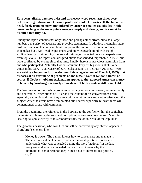**European affairs, does not twist and turn every word seventeen times over before setting it down, as a German professor would. He writes off the top of his head, freely from memory, unhindered by larger or smaller exactitudes in side issues. As long as the main points emerge sharply and clearly, and it cannot be disputed that they do.** 

Finally the report contains not only these and perhaps other errors, but also a large number, a majority, of accurate and provable statements. In addition, it contains many profound and excellent observations that prove the author to be not an ordinary shoemaker but a well-read, experienced and knowledgeable mind with insight, explicable only by either high theoretical training or collected personal experiences from top levels. The report contains predictions that sounded improbable in 1933, but were confirmed by events since that time. Finally there is a marvelous admission from one who participated. Naturally Gobbels couldn't keep his big mouth shut. So he writes in his dairy "Von Kaiserhof zur Reichskanzlei" on February 20, 1933: **"We are raising a huge sum for the election (Reichstag election of March 5, 1933) that disposes of all our financial problems at one blow." Even if we don't know, of course, if Gobbels' jubilant exclamation applies to the upposed American money to be sent by Warburg, the timely coincidence of both events is still remarkable.** 

The Warburg report as a whole gives an extremely serious impression, genuine, lively and believable. Descriptions of Hitler and the content of his conversations seem especially authentic and true, they agree with everything we know otherwise about the subject. After the errors have been pointed out, several especially relevant facts will be mentioned, along with comment.

From the beginning, the reference in the Forward to the conflict within the capitalist, the mixture of honesty, decency and corruption, proves great awareness. Marx, in Das Kapital spoke clearly of this economic role, the double role of the capitalist.

The great businessman, who won't let himself be deceived by any phrase, appears in short, brief sentences like:

Money is power. The banker knows how to concentrate and manage it. The international banker carries on international politics ... Whoever understands what was concealed behind the word "national" in the last few years and what is concealed there still also knows why the international banker cannot keep himself out of international politics. (p. 3)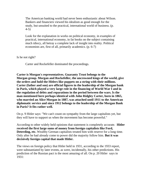The American banking world had never been enthusiastic about Wilson. Bankers and financiers viewed his idealism as good enough for the study, but unsuited to the practical, international world of business. (p. 4-5)

Look for the explanation in works on political economy, in examples of practical, international economy, in fat books on the subject containing much idiocy, all betray a complete lack of insight into reality. Political economists are, first of all, primarily academics. (p. 6-7)

Is he not right?

Carter and Rockefeller dominated the proceedings.

**Carter is Morgan's representatives. Guaranty Trust belongs to the Morgan group. Morgan and Rockefeller, the uncrowned kings of the world, give the orders and hold the Hitlers like puppets on a string with their millions. Carter (father and son) are official figures in the leadership of the Morgan bank in Paris, which played a very large role in the financing of World War I and in the regulation of debts and reparations in the period between the wars. Is the man mentioned here perhaps identical with John Ridgley Carter, born in 1865, who married an Alice Morgan in 1887, was attached until 1911 to the American diplomatic service and since 1912 belongs to the leadership of the Morgan Bank in Paris? It fits rather well.** 

On p. 9 Hitler says: "We can't count on sympathy from the large capitalists yet, but they will have to support us when the movement has become powerful."

According to other widely held opinions that statement is completely accurate. **Hitler received the first large sums of money from foreign capitalists like Ford, Deterding, etc.** Wealthy German capitalists treated him with reserve for a long time. Only after he had already come to power did the majority follow him. **But it was decisively foreign capital that made Hitler.** 

The views on foreign policy that Hitler held in 1931, according to the 1933 report, were substantiated by later events, as were, incidentally, his other predictions. His prediction of the Russian pact is the most amazing of all. On p. 20 Hitler says in 1931: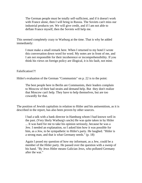The German people must be totally self-sufficient, and if it doesn't work with France alone, then I will bring in Russia. The Soviets can't miss our industrial products yet. We will give credit, and if I am not able to deflate France myself, then the Soviets will help me.

This seemed completely crazy to Warburg at the time. That is why he added immediately:

I must make a small remark here. When I returned to my hotel I wrote this conversation down word for word. My notes are in front of me, and I am not responsible for their incoherence or incomprehensibility. If you think his views on foreign policy are illogical, it is his fault, not mine.

Falsification!?!

Hitler's evaluation of the German "Communists" on p. 22 is to the point:

The best people here in Berlin are Communists, their leaders complain to Moscow of their bad straits and demand help. But they don't realize that Moscow can't help. They have to help themselves, but are too cowardly for that.

The position of Jewish capitalists in relation to Hitler and his antisemitism, as it is described in the report, has also been proven by other sources.

I had a talk with a bank director in Hamburg whom I had known well in the past. (Very likely Warburg's uncle) He was quite taken in by Hitler ... It was hard for me to take his opinion seriously, because he was a Jew. I needed an explanation, so I asked him how it was possible for him, as a Jew, to be sympathetic to Hitler's party. He laughed. "Hitler is a strong man, and that is what Germany needs." (p. 18)

Again I posed my question of how my informant, as a Jew, could be a member of the Hitler party. He passed over the question with a sweep of his hand. "By Jews Hitler means Galician Jews, who polluted Germany after the war."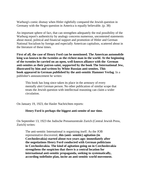Warburg's comic dismay when Hitler rightfully compared the Jewish question in Germany with the Negro question in America is equally believable. (p. 38)

An important sphere of fact, that can strengthen adequately the real possibility of the Warburg report's authenticity by analogy concerns numerous, uncontested statements about moral, political and financial support and promotion of Hitler and German National Socialism by foreign and especially American capitalists, scattered about in the literature of these times.

**First of all, the case of Henry Ford can be mentioned. The American automobile king was known in the twenties as the richest man in the world. At the beginning of the twenties he carried on an open, well-known alliance with the German anti-semites as their patron-saint, supported by the book The International Jew, illustrated by him and written by White Russian anti-semites. This book appeared in German published by the anti-semitic Hammer Verlag**. In a publisher's announcement he writes:

This book has long since taken its place in the armoury of every mentally alert German person. No other publication of similar scope that treats the Jewish question with intellectual reasoning can claim a wider circulation.

On January 19, 1923, the Hasler Nachrichten reports:

#### **Henry Ford is perhaps the biggest anti-semite of our time.**

On September 13, 1923 the Judische Pressenzentrale Zurich (Central Jewish Press, Zurich) writes:

The anti-semitic International is organizing itself. As the JOB representative discovered, **this (anti- semitic) agitation (in Czechoslovakia) started about two years ago: immediately after the negotiations Henry Ford conducted with German politicians in Czechoslovakia. The kind of agitation going on in Czechoslovakia strengthens the suspicion that there is a central location for international anti-semitic propaganda, seeking to systematically, according todefinite plan, incite an anti-semitic world movement.**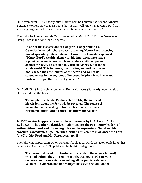On November 9, 1923, shortly after Hitler's beer hall putsch, the Vienna Arbeiter-Zeitung (Workers Newspaper) wrote that "it was well known that Henry Ford was spending large sums to stir up the anti-semitic movement in Europe."

The Judische Pressenzentrale Zurich reported on March 24, 1924: -- "Attacks on Henry Ford in the American Congress."

**In one of the last sessions of Congress, Congressman La Guardia delivered a sharp speech attacking Henry Ford, accusing him of spreading anti-semitism in Europe. La Guardia explained: "Henry Ford's wealth, along with his ignorance, have made it possible for malicious people to conduct a vile campaign against the Jews. This is not only true in America, but in the whole world. This inhuman, unchristian, and evil campaign has reached the other shores of the ocean and we see its consequences in the pogroms of innocent, helpless Jews in various parts of Europe. Refute this if you can!"** 

On April 25, 1924 Crispin wrote in the Berlin Vorwarts (Forward) under the title: "Ludendorf and the Jews" --

**To complete Ludendorf's character profile, the source of his wisdom about the Jews will be revealed. The source of his wisdom is, according to his own testimony, the book circulated under Ford's name: The International Jew.** 

**In 1927 an attack appeared against the anti-semites by C.A. Loosli: "The Evil Jews!" The author polemicizes mainly against the two literary leaders of anti-semitism, Ford and Rosenberg. He uses the expressions "Ford and his swastika- confederates" (p. 57), "the German anti-semites in alliance with Ford" (p. 60) , "Mr. Ford and Mr. Rosenberg" (p. 33).** 

The following appeared in Upton Sinclair's book about Ford, the automobile king, that came out in German in 1938 published by Malik Verlag, London:

**The former editor of the Dearborn Independent (belonging to Ford) who had written the anti-semitic article, was now Ford's private secretary and press chief, controlling all his public relations. William J. Cameron had not changed his views one iota; on the**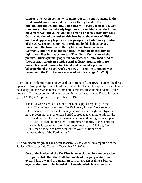**contrary, he was in contact with numerous anti-semitic agents in the whole world and connected them with Henry Ford ... Ford's millions surrounded him like a prisoner with Nazi agents and fascist slanderers. They had already begun to work on him when the Hitler movement was still young, and had received \$40,000 from him for a German edition of the anti-semitic brochure, the names of Hitler and Ford appearing together in the prospectus. Later on a grandson of the ex Kaiser joined up with Ford, and by his help \$300,000 flowed into the Nazi party. Henry Ford had huge factories in Germany, and it was no utopian idealism that prompted him to fight the strikes in that country. -- Then Fritz Kuhn entered the picture, Hitler's primary agent in America, the uniformed head of the German-American Bund, a semi-military organization. He moved his headquarters to Detroit and received a post in the laboratories of the Ford works. A new anti-semitic campaign was begun and the Ford factory swarmed with Nazis. (p. 248-249)** 

The German Hitler movement grew and took strength from 1920 on under the direct, open and close participation of Ford. Only when Ford's public support was no longer necessary did he separate himself from anti-semitism. He continued to aid Hitler, however. The latter conferred an order on him after his takeover. The Volksrecht (People's Rights) reported on September 19, 1945:

The Ford works are accused of furnishing supplies regularly to the Nazis. The correspondent from TASS Agency in New York reports: "Documents discovered in Germany, as well as thorough investigation have proven that the American Ford Co. produced war materials for the Nazis and assisted German armaments before and during the war up to 1944. Before Pearl Harbor, Henry Ford himself approved the contracts between his factories and the Hitler government ... In 1939 a gift of 50,000 marks is said to have been turned over to Hitler from representatives of the Ford works."

**The American origin of European fascism** is also evident in a report from the Judische Pressezentrale Zurich of December 22, 1922:

**One of the leaders of the Ku Klux Klan explained in a conversation with journalists that the KKK had made all the preparations to expand into a world organization ... in a very short time a branch organization would be founded in Canada, while trusted agents**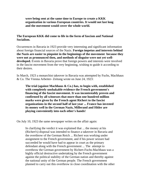**were being sent at the same time to Europe to create a KKK organization in various European countries. It would not last long and the movement would cover the whole world.** 

#### **The European KKK did come to life in the form of fascism and National Socialism.**

Occurrences in Bavaria in 1923 provide very interesting and significant information about foreign financial sources of the Nazis. **Foreign impetus and interests behind the Nazis are easier to pinpoint in the beginnings of the movement because they were not as pronounced then, and methods of disguise were not yet welldeveloped.** Events in Bavaria prove that foreign powers and interests were involved in the fascist movement from the very beginning, wishing to guide it according to their desires.

In March, 1923 a monarchist takeover in Bavaria was attempted by Fuchs, Machhaus & Co. The Vienna Arbeiter- Zeitung wrote on June 24, 1923:

**The trial (against Machhaus & Co.) has, to begin with, established with completely unshakable evidence the French government's financing of the fascist movement. It was incontestably proven and confirmed by all witnesses that more than one hundred million marks were given by the French agent Richert to the fascist organizations in the second half of last year ... France has invested its money well in the German Nazis, Millerand and Hitler are playing conveniently into each other's hands!** 

On July 10, 1923 the same newspaper writes on the affair again:

In clarifying the verdict it was explained that ... the money at his (Richert's) disposal was intended to finance a takeover in Bavaria and the overthrow of the German Reich ... Richert was working under assignment to the French government, and if his power seizure had succeeded he would have had to appear in court as the primary defendant along with the French government ... The attempt to overthrow the German government by Richert-Fuchs-Machhaus was a highly official destructive undertaking by the French government against the political stability of the German nation and thereby against the national unity of the German people. The French government planned to carry out this overthrow in close coordination with the other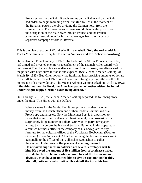French actions in the Ruhr. French armies on the Rhine and on the Ruhr had orders to begin marching from Frankfurt to Hof at the moment of the Bavarian putsch, thereby dividing the German north from the German south. The Bavarian overthrow would then be the pretext for the occupation of the Main river through France, and the French government would hope for further advantages from the success of separatist campaign efforts in Bavaria.

# This is the plan of action of World War II in a nutshell. **Only the real model for Fuchs-Machhaus is Hitler, for France is America and for Richert is Warburg.**

Hitler also had French money in 1923. His leader of the Storm Troopers, Ludecke, had armed and invested one Storm-Detachment of the Munich Hitler-Guard with uniforms at French costs, but soon afterwards, to Hitler's sorrow, was discovered by the police with huge sums in franks and exposed. (See Vienna Arbeiter-Zeitung) of March 19, 1923). But Hitler not only had franks, he had surprising amounts of dollars in the inflationary times of 1923. Was his unusual strength perhaps the result of the possession of so many dollars? The Vienna Arbeiter-Zeitung asked on April 15, 1923: **"Shouldn't names like Ford, the American patron of anti-semitism, be found under the gift-happy German Nazis living abroad?**"

On February 17, 1923, the Vienna Arbeiter-Zeitung reported the following story under the title: "The Hitler with the Dollars" --

What a shame for the Nazis. First it was proven that they received money from the French. Then one of their leaders is unmasked as a French spy and arrested. Now the Munchner Post is in a position to prove that even Hitler, well-known Nazi general, is in possession of a surprisingly large number of dollars. Our Munich party newspaper writes: Shortly before the National Socialist Parteitag Hitler appeared at a Munich business office in the company of his 'bodyguard' to buy furniture for the editorial offices of the Volkischer Beobachter (People's Observer) a new Nazi sheet. After the Parteitag the business owner went personally to the offices of the Volkischer Beobachter to collect the amount. **Hitler was in the process of opening the mail. He removed huge sums in dollars from several envelopes sent to him. He payed the amount of five million from a briefcase stuffed with dollar bills. The somewhat amazed face of the businessman obviously must have prompted him to give an explanation for this, after all, quite unusual situation. He said off the top of his head:**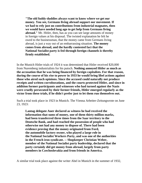**"The old fuddy-duddies always want to know where we get our money. You see, Germans living abroad support our movement. If we had to rely just on contributions from industrial magnates, then we would have needed long ago to get help from Germans living abroad."** Mr. Hitler, then, has as you can see large amounts of money in foreign values at his disposal. The twisted explanation he felt he owed to the businessman, that the money came from Germans living abroad, is just a way out of an embarrassing situation. **The money comes from abroad, and the hardly contested fact that the National Socialist party is fed through foreign channels is thereby firmly established.** 

In the Munich Hitler trials of 1924 it was determined that Hitler received \$20,000 from Nuremberg industrialists for his putsch. **Nothing annoyed Hitler as much as the accusation that he was being financed by foreign capitalists. For that reason, during the course of his rise to power in 1933 he would bring libel actions against those who aired such opinions. Since the accused could naturally not produce receipts and written corroborations, and the courts protected Hitler, and since in addition former participants and witnesses who had turned against the Nazis were cruelly persecuted by their former friends, Hitler emerged regularly as the victor from these trials, if he didn't prefer just to let them run themselves out.** 

Such a trial took place in 1923 in Munich. The Vienna Arbeiter-Zeitungwrote on June 23, 1923:

**Lantag delegate Auer declared as witness he had received the information that sums of money, one of them thirty million marks, had been transferred three times from the Saar territory to the Deutsche Bank, and had reached the possession of people who had otherwise not had any money to dispose of. There had been evidence proving that the money originated from Ford, the automobile factory owner, who played a large role in the National Socialist Workers Party, and was one of the authorities in the French iron syndicate. -- Shopkeeper Christian Weber, member of the National Socialist party leadership, declared that the party certainly did get money from abroad, largely from party members in Czechoslovakia and from friends in America.** 

A similar trial took place against the writer Abel in Munich in the summer of 1932,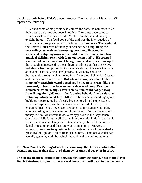therefore shortly before Hitler's power takeover. The Imprekoor of June 14, 1932 reported the following:

Hitler and some of his people who entered the battle as witnesses, tried their best to be vague and reveal nothing. The courts even came to Hitler's assistance in these efforts. Yet the trial did, in certain ways, explain things ... The focal point of the trial was the interrogation of Hitler, which took place under sensational circumstances. **The leader of the Brown House was obviously concerned with exploding the proceedings, to avoid embarrassing questions. He actually succeeded in slipping away at the right moment thanks to a true attack of delirium (even with foam on the mouth!) ... He escaped scot-free when the question of foreign financial sources came up.** He did, though, condescend to the ambiguous admission that the NSDAT had always been supported by its members abroad; therefore Germans abroad and naturally also Nazi patrons in Germany could be the channels through which money from Deterding, Schneider-Creuzot and Skoda could have flowed. **But when the lawyers asked Hitler completely straightforward questions, he began to scream like one possessed, to insult the lawyers and refuse testimony. Even the Munich court, normally so favorable to him, could not get away from fining him 1,000 marks for "abusive behavior" and refusal of testimony, which could hurt Hitler.** -- Hitler's denials and raging are highly transparent. He has already been exposed on the one issue to which he responded, and he can even be suspected of perjury. He explained that he had never seen or spoken to the Italian Migliarati, who, according to Abel's assertion, is suspected of turning over sums of money to him. Meanwhile it was already proven in the Bayrischen Courier that Migliarati publicized an interview with Hitler at a critical point. It is now completely understandable why Hitler let it come to a denial of testimony and then left Munich in a hurry. Answers to numerous, very precise questions from the defense would have shed a great deal of light on Hitler's financial sources, on actions a leader can actually get away with, but which the rank and file will not tolerate.

**The Neue Zurcher Zeitung also felt the same way, that Hitler verified Abel's accusations rather than disproved them by his unusual behavior in court.** 

**The strong financial connections between Sir Henry Deterding, head of the Royal Dutch Petroleum Co., and Hitler are well known and still fresh in the memory so**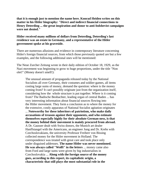**that it is enough just to mention the name here. Konrad Heiden writes on this matter in his Hitler biography: "Direct and indirect financial connections to Henry Deterding ... the great inspiration and donor to anti-bolshevist campaigns were not denied."** 

# **Hitler received many millions of dollars from Deterding, Deterding's last residence was an estate in Germany, and a representative of the Hitler government spoke at his graveside.**

There are numerous allusions and evidence in contemporary literature concerning Hitler's foreign financial sources, from which those previously quoted are but a few examples, and the following additional ones will be mentioned:

The Neue Zurcher Zeitung wrote in their daily edition of October 18, 1929, as the Nazi movement was beginning to grow to huge proportions, under the title "Non olet!" (Money doesn't smell!):

The unusual amount of propaganda released today by the National Socialists all over Germany, their costumes and soldier-games, all items costing large sums of money, demand the question: where is the money coming from? It can't possibly originate just from the organization itself, considering how the whole structure is put together. Where is it coming from? The Badische Beobachter, leading organ of central Baden ... has very interesting information about financial sources flowing into the Hitler movement. They form a conclusion as to where the money for the extensive, costly apparatus of National Socialist agitation originates ... **Noteworthy for these inheritors of patriotism, who make daily accusations of treason against their opponents, and who estimate themselves especially highly for their absolute German-ness, is that the money behind their movement is mainly procured from abroad.** A Dr. Gausser dealt with Swiss donors, the Munich art dealer Hanffstangel with the Americans, an engineer Jung and Dr. Krebs with Czechoslovakians, the university Professor Freiherr von Bissing collected money for the Hitler movement in Holland. The correspondence was treated with great care and took place only under disguised addresses. **The name Hitler was never mentioned. He was always called "Wolfi" in the letters** ... money came also from Ford and large sums were given by big industrialists in Czechoslovakia ... **Along with the foreign source of the money goes, according to this report, its capitalistic origin, a characteristic that still plays the most substantial role in the**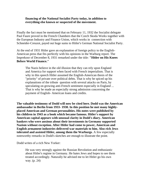#### **financing of the National Socialist Party today, in addition to everything else known or suspected of the movement.**

Finally the fact must be mentioned that on February 11, 1932 the Socialist delegate Paul Faure proved in the French Chambers that the Czech Skoda Works together with the European Industry and Finance Union, which works in connection with Schneider-Creuzot, payed out huge sums to Hitler's German National Socialist Party.

At the end of 1931 Hitler gave an explanation of foreign policy to the English-American press that fits perfectly with his opinions in the Warburg report. The Imprekoor of December 8, 1931 remarked under the title: **"Hitler on His Knees Before World Finance."** 

The Nazis believe in the old illusion that they can rely upon England and America for support when faced with French imperialism. That is why in this speech Hitler assumed the English-American thesis of the "priority" of private over political debts. That is why he spiced up his explanations of the tribute question with several attacks on Paris, by speculating on growing anti-French sentiment especially in England ... That is why he made an especially strong admission concerning the payment of English- American loans and credits.

**The valuable testimony of Dodd will now be cited here. Dodd was the American ambassador in Berlin from 1933- 1938. In this position he met many highlyplaced American and German personalities. His notes were published by his children in 1943 as a book which became famous. Hitler's support by American capital appears with unusual clarity in Dodd's diary. American bankers who were anxious about their investments in Germany supported Nazism without exception. After Hitler had come to power, American and English armament industries delivered war materials to him. Also rich Jews tolerated and assisted Hitler, among them the Warburgs**. A few especially noteworthy remarks in Dodd's sketches are enough to illustrate the point.

Dodd writes of a rich New Yorker:

He was very strongly against the Russian Revolution and enthusiastic about Hitler's regime in Germany. He hates Jews and hopes to see them treated accordingly. Naturally he advised me to let Hitler go his own way. (p. 24)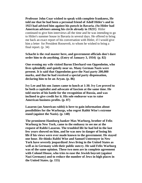**Professor John Coar wished to speak with complete frankness, He told me that he had been a personal friend of Adolf Hitler's and in 1923 had advised him against his putsch in Bavaria. (So Hitler had American advisors among his circle already in 1923!)** Hitler continued to give him interviews all the time and he was intending to go to Hitler's summer house in Bavaria in several days. He offered to bring me back an exact report of his conversation with Hitler, if I would give him a letter for President Roosevelt, to whom he wished to bring a final report. (p. 34)

**Schacht is the real master here, and government officials don't dare order him to do anything. (Entry of January 3, 1934) (p. 82)** 

**One evening my wife visited Baron Eberhard von Oppenheim, who lives splendidly and quietly near us. Many German Nazis were present. It is said that Oppenheim gave the Nazi party 200,000 marks, and that he had received a special party dispensation, declaring him to be an Aryan. (p. 86)** 

**Ivy Lee and his son James came to lunch at 1:30. Ivy Lee proved to be both a capitalist and advocate of fascism at the same time. He told stories of his battle for the recognition of Russia, and was inclined to give credit for it. His sole endeavor was to raise American business profits. (p. 87)** 

**Lazaron (an American rabbi) is here to gain information about possibilities for the Warburgs, who regret Rabbi Wise's extreme stand (against the Nazis). (p. 148)** 

**The prominent Hamburg banker Max Warburg, brother of Felix Warburg in New York, came to the embassy to see me at the request of Rabbi Lazaron. The troubled life he had led in the last few years showed on him, and he was now in danger of losing his life if his views were ever made known to the government. He stayed one hour. He thinks Rabbi Wise and Samuel Untermyer in New York have severely jeopardized Jews living in the United States as well as in Germany with their public outcry. He said Felix Warburg was of the same opinion. These two men are in complete agreement with Colonel House, who tries to ease the Jewish boycott (against Nazi Germany) and to reduce the number of Jews in high places in the United States. (p. 155)**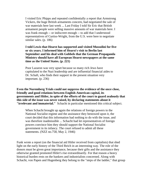I visited Eric Phipps and repeated confidentially a report that Armstrong Vickers, the huge British armaments concern, had negotiated the sale of war materials here last week ... Last Friday I told Sir Eric that British armament people were selling massive amounts of war materials here. I was frank enough -- or indiscreet enough -- to add that I understood representatives of Curtiss-Wright, from the U.S. were here to negotiate similar sales. (p. 186)

**I told Lewis that Hearst has supported and visited Mussolini for five or six years. I informed him of Hearst's visit to Berlin last September and his deal with Gobbels that the German Propaganda Ministry should have all European Hearst-newspapers at the same time as the United States. (p. 221)** 

Poor Lazaron was very upset because so many rich Jews have capitulated to the Nazi leadership and are influential financial aides to Dr. Schaft, who finds their support in the present situation very important. (p. 236)

**Even the Nuremberg Trials could not suppress the evidence of the once close, friendly and good relations between English-American capital, its governments and Hitler, in spite of the efforts of the court to guard zealously that this side of the issue was never raised, by declaring statements about it "irrelevant and immaterial."** Schacht in particular mentioned this critical subject.

When Schacht brought up again the relations of foreign powers to the National Socialist regime and the assistance they bestowed upon it, the court decided that this information had nothing to do with the issue, and was therefore inadmissible ... Schacht had let representatives of foreign powers convince him they should support the National Socialist government in its infancy. The court refused to admit all these statements. (NZZ no.758, May 2, 1946)

Funk wrote a report (on the financial aid Hitler received from capitalists) that shed light on the early history of the Third Reich in an interesting way. The role of the donors must be given great importance, because their gifts and the assistance they otherwise granted promoted Hitler's rise extraordinarily. For that reason a heavy historical burden rests on the bankers and industrialists concerned. Along with Schacht, von Papen and Hugenberg they belong to the "steps of the ladder," that group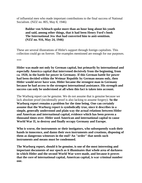of influential men who made important contributions to the final success of National Socialism. (NZZ no. 805, May 8, 1946)

# **Baldur von Schitach spoke more than an hour long about his youth and said, among other things, that it had been Henry Ford's book The International Jew that had converted him to anti-semitism. (NZZ no. 916, May 24, 1946)**

These are several illustrations of Hitler's support through foreign capitalists. This collection could go on forever. The examples mentioned are enough for our purposes.

\*\*\*

**Hitler was made not only by German capital, but primarily by international and especially America capital that intervened decisively from the beginning, from ca. 1920, in the battle for power in Germany. If this German battle for power had been decided within the Weimar Republic by German means only, then Hitler would never have won. Hitler became the strongest man in Germany because he had access to the strongest international assistance. His strength and success can only be understood at all when this fact is taken into account.** 

The Warburg report can be genuine. We do not assume that is genuine because we lack absolute proof (incidentally proof is also lacking to assume forgery). **So the Warburg report remains a problem for the time being. One can certainly assume that the Warburg report is symbolically true, since it describes in a simple, generally understood and plain way the actual relations between Hitler and American and international capital, evidence which has been proven a thousand times over. Hitler used American and international capital to cause World War II, to destroy and finally occupy Germany and Europe.** 

**Who is worse, the instruments or their instigators, who subsequently wash their hands in innocence, and damn their own instruments and creations, disposing of them as dangerous witnesses in the end? An "order" that needs such instruments and means must be condemned.** 

**The Warburg report, should it be genuine, is one of the most interesting and important documents of our epoch as it illuminates that whole area of darkness in which Hitler and the second World War were made, and because it proves that the core of international capital, American capital, is war criminal number one.**